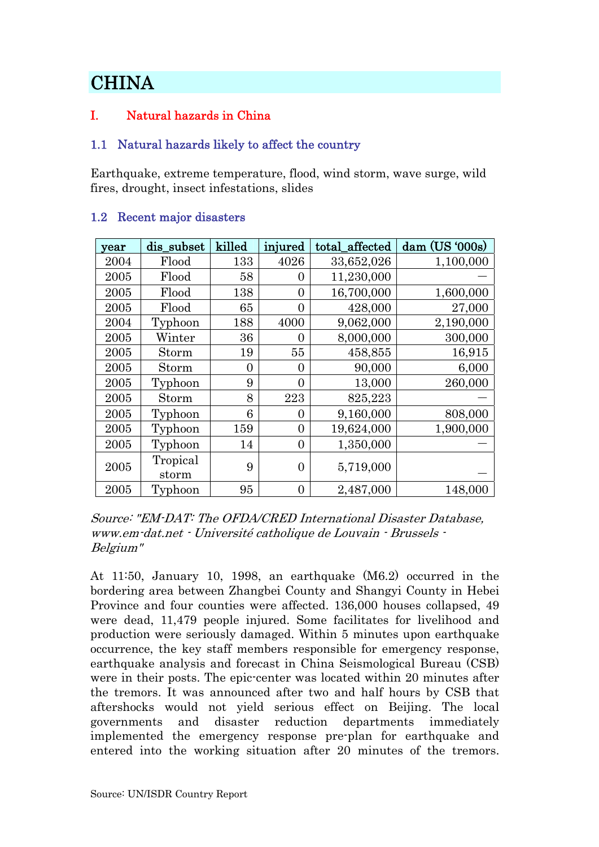# **CHINA**

# I. Natural hazards in China

### 1.1 Natural hazards likely to affect the country

Earthquake, extreme temperature, flood, wind storm, wave surge, wild fires, drought, insect infestations, slides

| year | dis_subset        | killed | injured          | total_affected | $dam$ (US '000s) |
|------|-------------------|--------|------------------|----------------|------------------|
| 2004 | Flood             | 133    | 4026             | 33,652,026     | 1,100,000        |
| 2005 | Flood             | 58     | 0                | 11,230,000     |                  |
| 2005 | Flood             | 138    | $\overline{0}$   | 16,700,000     | 1,600,000        |
| 2005 | Flood             | 65     | $\theta$         | 428,000        | 27,000           |
| 2004 | Typhoon           | 188    | 4000             | 9,062,000      | 2,190,000        |
| 2005 | Winter            | 36     | 0                | 8,000,000      | 300,000          |
| 2005 | Storm             | 19     | 55               | 458,855        | 16,915           |
| 2005 | Storm             | 0      | $\theta$         | 90,000         | 6,000            |
| 2005 | Typhoon           | 9      | $\overline{0}$   | 13,000         | 260,000          |
| 2005 | Storm             | 8      | 223              | 825,223        |                  |
| 2005 | Typhoon           | 6      | $\theta$         | 9,160,000      | 808,000          |
| 2005 | Typhoon           | 159    | $\theta$         | 19,624,000     | 1,900,000        |
| 2005 | Typhoon           | 14     | $\overline{0}$   | 1,350,000      |                  |
| 2005 | Tropical<br>storm | 9      | $\boldsymbol{0}$ | 5,719,000      |                  |
| 2005 | Typhoon           | 95     | $\boldsymbol{0}$ | 2,487,000      | 148,000          |

### 1.2 Recent major disasters

Source: "EM-DAT: The OFDA/CRED International Disaster Database, www.em-dat.net - Université catholique de Louvain - Brussels - Belgium"

At 11:50, January 10, 1998, an earthquake (M6.2) occurred in the bordering area between Zhangbei County and Shangyi County in Hebei Province and four counties were affected. 136,000 houses collapsed, 49 were dead, 11,479 people injured. Some facilitates for livelihood and production were seriously damaged. Within 5 minutes upon earthquake occurrence, the key staff members responsible for emergency response, earthquake analysis and forecast in China Seismological Bureau (CSB) were in their posts. The epic-center was located within 20 minutes after the tremors. It was announced after two and half hours by CSB that aftershocks would not yield serious effect on Beijing. The local governments and disaster reduction departments immediately implemented the emergency response pre-plan for earthquake and entered into the working situation after 20 minutes of the tremors.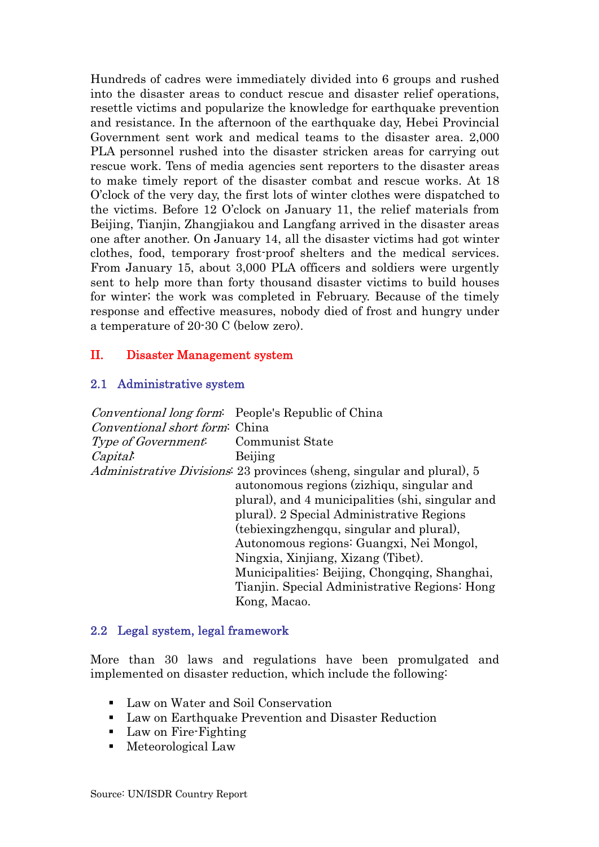Hundreds of cadres were immediately divided into 6 groups and rushed into the disaster areas to conduct rescue and disaster relief operations, resettle victims and popularize the knowledge for earthquake prevention and resistance. In the afternoon of the earthquake day, Hebei Provincial Government sent work and medical teams to the disaster area. 2,000 PLA personnel rushed into the disaster stricken areas for carrying out rescue work. Tens of media agencies sent reporters to the disaster areas to make timely report of the disaster combat and rescue works. At 18 O'clock of the very day, the first lots of winter clothes were dispatched to the victims. Before 12 O'clock on January 11, the relief materials from Beijing, Tianjin, Zhangjiakou and Langfang arrived in the disaster areas one after another. On January 14, all the disaster victims had got winter clothes, food, temporary frost-proof shelters and the medical services. From January 15, about 3,000 PLA officers and soldiers were urgently sent to help more than forty thousand disaster victims to build houses for winter; the work was completed in February. Because of the timely response and effective measures, nobody died of frost and hungry under a temperature of 20-30 C (below zero).

### II. Disaster Management system

#### 2.1 Administrative system

|                                           | <i>Conventional long form</i> : People's Republic of China                     |
|-------------------------------------------|--------------------------------------------------------------------------------|
| Conventional short form: China            |                                                                                |
| <i>Type of Government</i> Communist State |                                                                                |
| Capital.                                  | Beijing                                                                        |
|                                           | <i>Administrative Divisions</i> : 23 provinces (sheng, singular and plural), 5 |
|                                           | autonomous regions (zizhiqu, singular and                                      |
|                                           | plural), and 4 municipalities (shi, singular and                               |
|                                           | plural). 2 Special Administrative Regions                                      |
|                                           | (tebiexingzhengqu, singular and plural),                                       |
|                                           | Autonomous regions: Guangxi, Nei Mongol,                                       |
|                                           | Ningxia, Xinjiang, Xizang (Tibet).                                             |
|                                           | Municipalities: Beijing, Chongqing, Shanghai,                                  |
|                                           | Tianjin. Special Administrative Regions: Hong                                  |
|                                           | Kong, Macao.                                                                   |

### 2.2 Legal system, legal framework

More than 30 laws and regulations have been promulgated and implemented on disaster reduction, which include the following:

- Law on Water and Soil Conservation
- Law on Earthquake Prevention and Disaster Reduction
- Law on Fire-Fighting
- Meteorological Law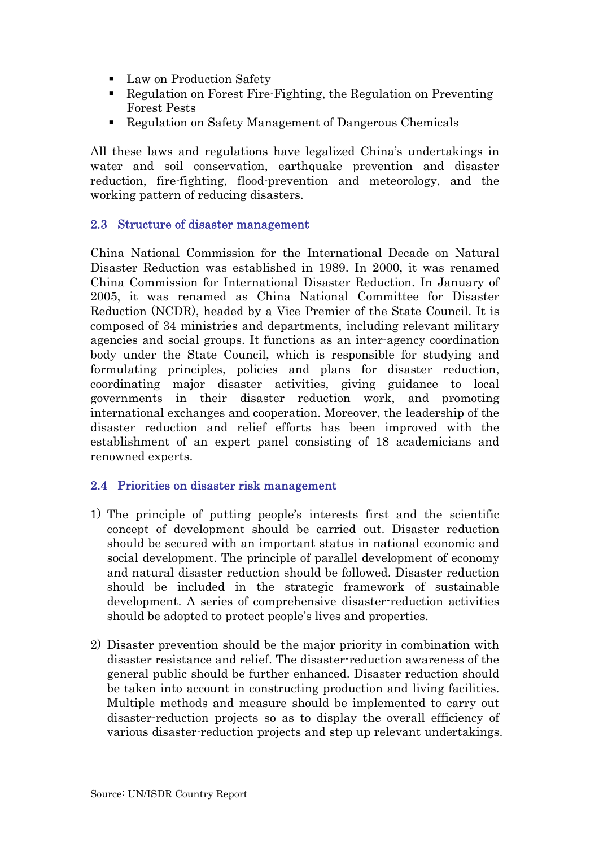- Law on Production Safety
- Regulation on Forest Fire-Fighting, the Regulation on Preventing Forest Pests
- Regulation on Safety Management of Dangerous Chemicals

All these laws and regulations have legalized China's undertakings in water and soil conservation, earthquake prevention and disaster reduction, fire-fighting, flood-prevention and meteorology, and the working pattern of reducing disasters.

### 2.3 Structure of disaster management

China National Commission for the International Decade on Natural Disaster Reduction was established in 1989. In 2000, it was renamed China Commission for International Disaster Reduction. In January of 2005, it was renamed as China National Committee for Disaster Reduction (NCDR), headed by a Vice Premier of the State Council. It is composed of 34 ministries and departments, including relevant military agencies and social groups. It functions as an inter-agency coordination body under the State Council, which is responsible for studying and formulating principles, policies and plans for disaster reduction, coordinating major disaster activities, giving guidance to local governments in their disaster reduction work, and promoting international exchanges and cooperation. Moreover, the leadership of the disaster reduction and relief efforts has been improved with the establishment of an expert panel consisting of 18 academicians and renowned experts.

# 2.4 Priorities on disaster risk management

- 1) The principle of putting people's interests first and the scientific concept of development should be carried out. Disaster reduction should be secured with an important status in national economic and social development. The principle of parallel development of economy and natural disaster reduction should be followed. Disaster reduction should be included in the strategic framework of sustainable development. A series of comprehensive disaster-reduction activities should be adopted to protect people's lives and properties.
- 2) Disaster prevention should be the major priority in combination with disaster resistance and relief. The disaster-reduction awareness of the general public should be further enhanced. Disaster reduction should be taken into account in constructing production and living facilities. Multiple methods and measure should be implemented to carry out disaster-reduction projects so as to display the overall efficiency of various disaster-reduction projects and step up relevant undertakings.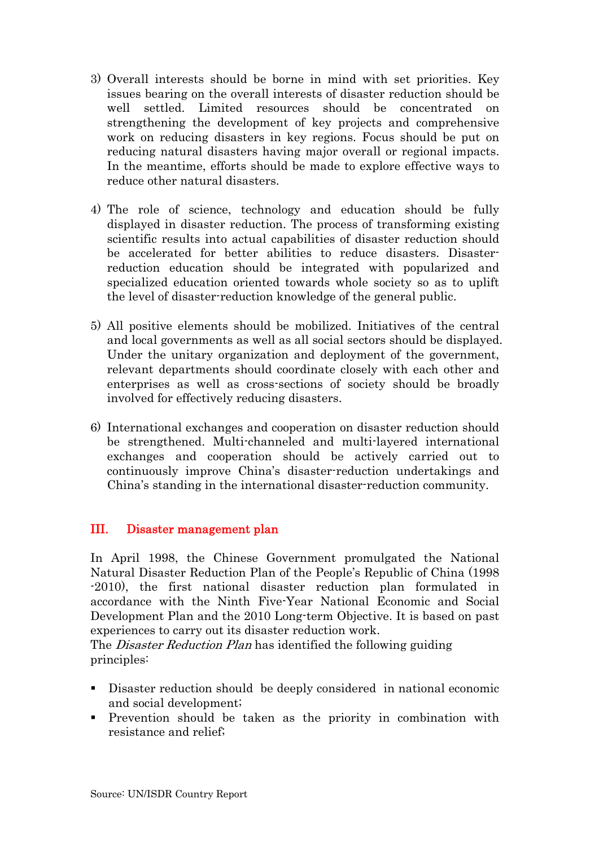- 3) Overall interests should be borne in mind with set priorities. Key issues bearing on the overall interests of disaster reduction should be well settled. Limited resources should be concentrated on strengthening the development of key projects and comprehensive work on reducing disasters in key regions. Focus should be put on reducing natural disasters having major overall or regional impacts. In the meantime, efforts should be made to explore effective ways to reduce other natural disasters.
- 4) The role of science, technology and education should be fully displayed in disaster reduction. The process of transforming existing scientific results into actual capabilities of disaster reduction should be accelerated for better abilities to reduce disasters. Disasterreduction education should be integrated with popularized and specialized education oriented towards whole society so as to uplift the level of disaster-reduction knowledge of the general public.
- 5) All positive elements should be mobilized. Initiatives of the central and local governments as well as all social sectors should be displayed. Under the unitary organization and deployment of the government, relevant departments should coordinate closely with each other and enterprises as well as cross-sections of society should be broadly involved for effectively reducing disasters.
- 6) International exchanges and cooperation on disaster reduction should be strengthened. Multi-channeled and multi-layered international exchanges and cooperation should be actively carried out to continuously improve China's disaster-reduction undertakings and China's standing in the international disaster-reduction community.

# III. Disaster management plan

In April 1998, the Chinese Government promulgated the National Natural Disaster Reduction Plan of the People's Republic of China (1998 -2010), the first national disaster reduction plan formulated in accordance with the Ninth Five-Year National Economic and Social Development Plan and the 2010 Long-term Objective. It is based on past experiences to carry out its disaster reduction work.

The *Disaster Reduction Plan* has identified the following guiding principles:

- Disaster reduction should be deeply considered in national economic and social development;
- Prevention should be taken as the priority in combination with resistance and relief;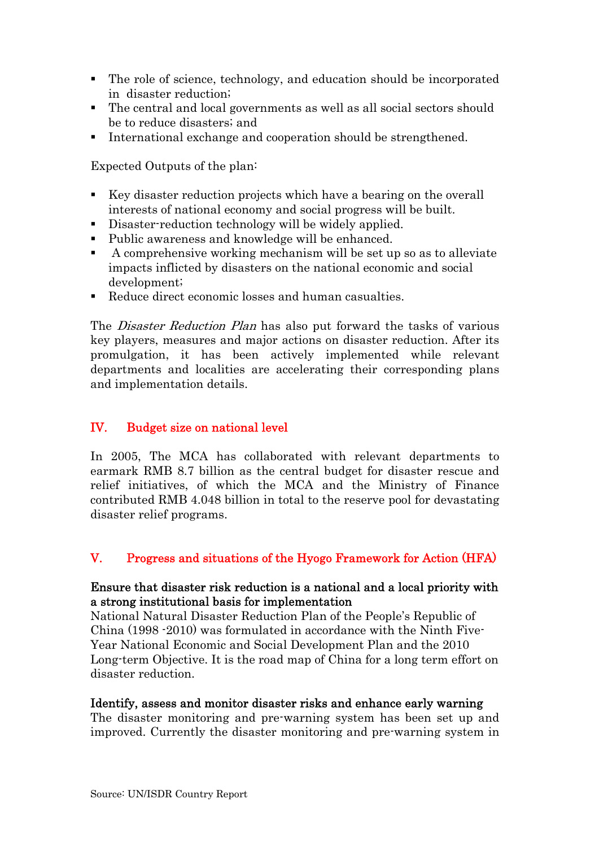- The role of science, technology, and education should be incorporated in disaster reduction;
- The central and local governments as well as all social sectors should be to reduce disasters; and
- International exchange and cooperation should be strengthened.

Expected Outputs of the plan:

- Key disaster reduction projects which have a bearing on the overall interests of national economy and social progress will be built.
- Disaster-reduction technology will be widely applied.
- Public awareness and knowledge will be enhanced.
- A comprehensive working mechanism will be set up so as to alleviate impacts inflicted by disasters on the national economic and social development;
- Reduce direct economic losses and human casualties.

The *Disaster Reduction Plan* has also put forward the tasks of various key players, measures and major actions on disaster reduction. After its promulgation, it has been actively implemented while relevant departments and localities are accelerating their corresponding plans and implementation details.

# IV. Budget size on national level

In 2005, The MCA has collaborated with relevant departments to earmark RMB 8.7 billion as the central budget for disaster rescue and relief initiatives, of which the MCA and the Ministry of Finance contributed RMB 4.048 billion in total to the reserve pool for devastating disaster relief programs.

# V. Progress and situations of the Hyogo Framework for Action (HFA)

### Ensure that disaster risk reduction is a national and a local priority with a strong institutional basis for implementation

National Natural Disaster Reduction Plan of the People's Republic of China (1998 -2010) was formulated in accordance with the Ninth Five-Year National Economic and Social Development Plan and the 2010 Long-term Objective. It is the road map of China for a long term effort on disaster reduction.

# Identify, assess and monitor disaster risks and enhance early warning

The disaster monitoring and pre-warning system has been set up and improved. Currently the disaster monitoring and pre-warning system in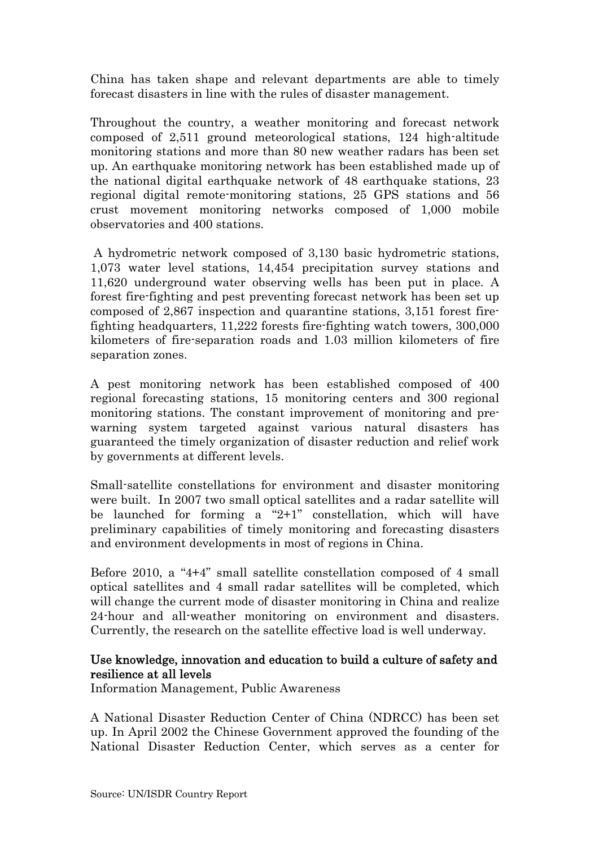China has taken shape and relevant departments are able to timely forecast disasters in line with the rules of disaster management.

Throughout the country, a weather monitoring and forecast network composed of 2,511 ground meteorological stations, 124 high-altitude monitoring stations and more than 80 new weather radars has been set up. An earthquake monitoring network has been established made up of the national digital earthquake network of 48 earthquake stations, 23 regional digital remote-monitoring stations, 25 GPS stations and 56 crust movement monitoring networks composed of 1,000 mobile observatories and 400 stations.

 A hydrometric network composed of 3,130 basic hydrometric stations, 1,073 water level stations, 14,454 precipitation survey stations and 11,620 underground water observing wells has been put in place. A forest fire-fighting and pest preventing forecast network has been set up composed of 2,867 inspection and quarantine stations, 3,151 forest firefighting headquarters, 11,222 forests fire-fighting watch towers, 300,000 kilometers of fire-separation roads and 1.03 million kilometers of fire separation zones.

A pest monitoring network has been established composed of 400 regional forecasting stations, 15 monitoring centers and 300 regional monitoring stations. The constant improvement of monitoring and prewarning system targeted against various natural disasters has guaranteed the timely organization of disaster reduction and relief work by governments at different levels.

Small-satellite constellations for environment and disaster monitoring were built. In 2007 two small optical satellites and a radar satellite will be launched for forming a "2+1" constellation, which will have preliminary capabilities of timely monitoring and forecasting disasters and environment developments in most of regions in China.

Before 2010, a "4+4" small satellite constellation composed of 4 small optical satellites and 4 small radar satellites will be completed, which will change the current mode of disaster monitoring in China and realize 24-hour and all-weather monitoring on environment and disasters. Currently, the research on the satellite effective load is well underway.

# Use knowledge, innovation and education to build a culture of safety and resilience at all levels

Information Management, Public Awareness

A National Disaster Reduction Center of China (NDRCC) has been set up. In April 2002 the Chinese Government approved the founding of the National Disaster Reduction Center, which serves as a center for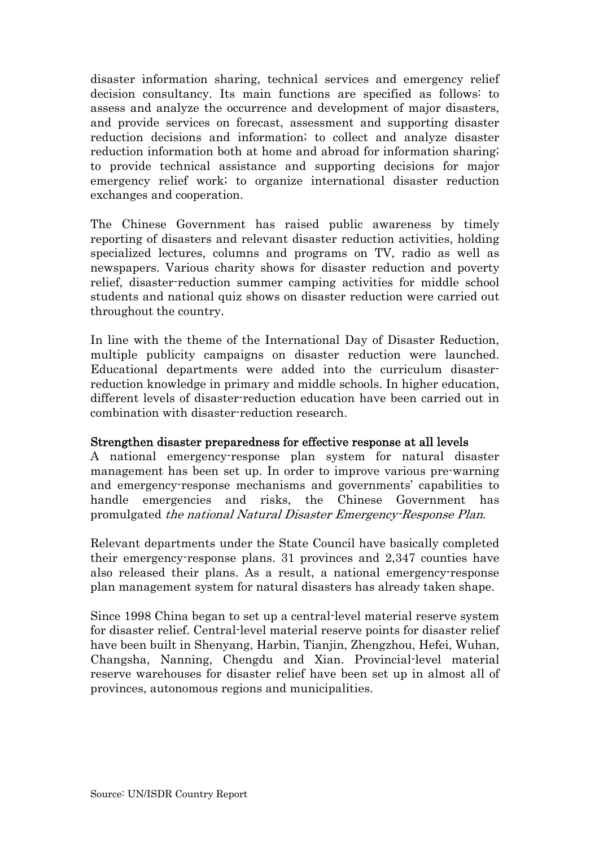disaster information sharing, technical services and emergency relief decision consultancy. Its main functions are specified as follows: to assess and analyze the occurrence and development of major disasters, and provide services on forecast, assessment and supporting disaster reduction decisions and information; to collect and analyze disaster reduction information both at home and abroad for information sharing; to provide technical assistance and supporting decisions for major emergency relief work; to organize international disaster reduction exchanges and cooperation.

The Chinese Government has raised public awareness by timely reporting of disasters and relevant disaster reduction activities, holding specialized lectures, columns and programs on TV, radio as well as newspapers. Various charity shows for disaster reduction and poverty relief, disaster-reduction summer camping activities for middle school students and national quiz shows on disaster reduction were carried out throughout the country.

In line with the theme of the International Day of Disaster Reduction, multiple publicity campaigns on disaster reduction were launched. Educational departments were added into the curriculum disasterreduction knowledge in primary and middle schools. In higher education, different levels of disaster-reduction education have been carried out in combination with disaster-reduction research.

### Strengthen disaster preparedness for effective response at all levels

A national emergency-response plan system for natural disaster management has been set up. In order to improve various pre-warning and emergency-response mechanisms and governments' capabilities to handle emergencies and risks, the Chinese Government has promulgated the national Natural Disaster Emergency-Response Plan.

Relevant departments under the State Council have basically completed their emergency-response plans. 31 provinces and 2,347 counties have also released their plans. As a result, a national emergency-response plan management system for natural disasters has already taken shape.

Since 1998 China began to set up a central-level material reserve system for disaster relief. Central-level material reserve points for disaster relief have been built in Shenyang, Harbin, Tianjin, Zhengzhou, Hefei, Wuhan, Changsha, Nanning, Chengdu and Xian. Provincial-level material reserve warehouses for disaster relief have been set up in almost all of provinces, autonomous regions and municipalities.